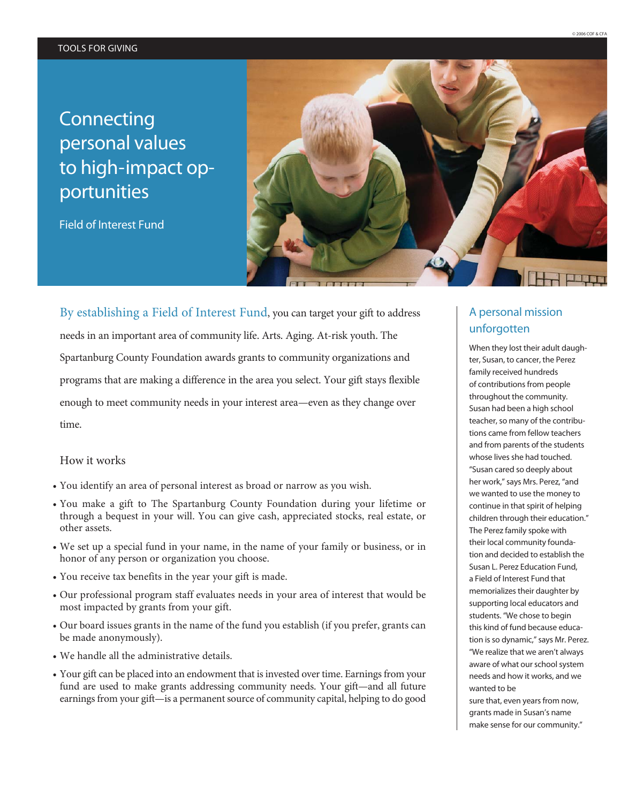# **Connecting** personal values to high-impact opportunities

Field of Interest Fund



By establishing a Field of Interest Fund, you can target your gift to address needs in an important area of community life. Arts. Aging. At-risk youth. The Spartanburg County Foundation awards grants to community organizations and programs that are making a difference in the area you select. Your gift stays flexible enough to meet community needs in your interest area—even as they change over time.

# How it works

- You identify an area of personal interest as broad or narrow as you wish.
- You make a gift to The Spartanburg County Foundation during your lifetime or through a bequest in your will. You can give cash, appreciated stocks, real estate, or other assets.
- We set up a special fund in your name, in the name of your family or business, or in honor of any person or organization you choose.
- You receive tax benefits in the year your gift is made.
- Our professional program staff evaluates needs in your area of interest that would be most impacted by grants from your gift.
- Our board issues grants in the name of the fund you establish (if you prefer, grants can be made anonymously).
- We handle all the administrative details.
- Your gift can be placed into an endowment that is invested over time. Earnings from your fund are used to make grants addressing community needs. Your gift—and all future earnings from your gift—is a permanent source of community capital, helping to do good

# A personal mission unforgotten

When they lost their adult daughter, Susan, to cancer, the Perez family received hundreds of contributions from people throughout the community. Susan had been a high school teacher, so many of the contributions came from fellow teachers and from parents of the students whose lives she had touched. "Susan cared so deeply about her work," says Mrs. Perez, "and we wanted to use the money to continue in that spirit of helping children through their education." The Perez family spoke with their local community foundation and decided to establish the Susan L. Perez Education Fund, a Field of Interest Fund that memorializes their daughter by supporting local educators and students. "We chose to begin this kind of fund because education is so dynamic," says Mr. Perez. "We realize that we aren't always aware of what our school system needs and how it works, and we wanted to be

sure that, even years from now, grants made in Susan's name make sense for our community."